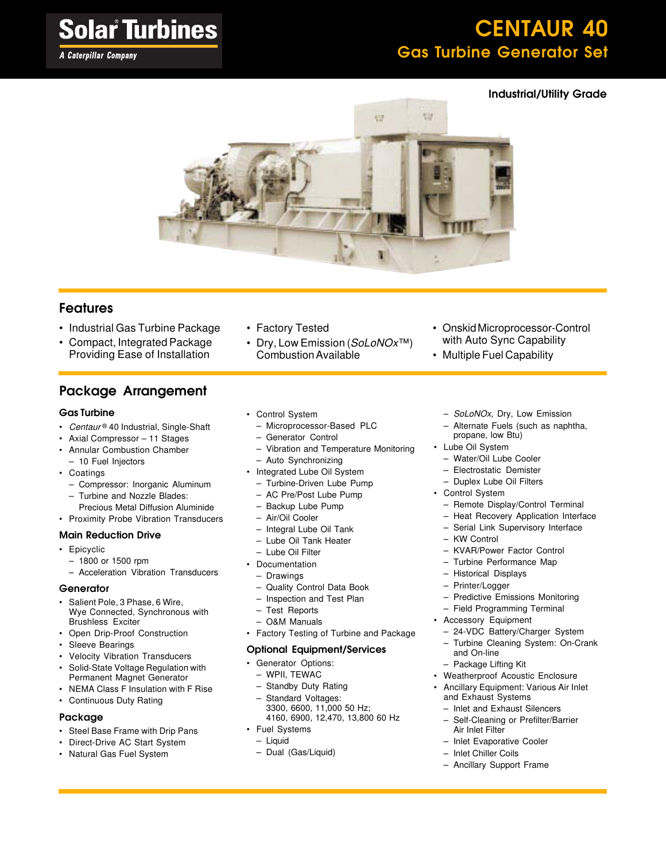#### **A Caterpillar Company**

## CENTAUR 40 Gas Turbine Generator Set

#### Industrial/Utility Grade



#### Features

- Industrial Gas Turbine Package
- Compact, Integrated Package Providing Ease of Installation

### Package Arrangement

#### Gas Turbine

- Centaur® 40 Industrial, Single-Shaft
- Axial Compressor 11 Stages
- Annular Combustion Chamber – 10 Fuel Injectors
- Coatings
	- Compressor: Inorganic Aluminum
	- Turbine and Nozzle Blades:
- Precious Metal Diffusion Aluminide • Proximity Probe Vibration Transducers

#### Main Reduction Drive

- Epicyclic
	- 1800 or 1500 rpm
	- Acceleration Vibration Transducers

#### **Generator**

- Salient Pole, 3 Phase, 6 Wire, Wye Connected, Synchronous with Brushless Exciter
- Open Drip-Proof Construction
- Sleeve Bearings
- Velocity Vibration Transducers
- Solid-State Voltage Regulation with Permanent Magnet Generator
- NEMA Class F Insulation with F Rise
- Continuous Duty Rating

#### Package

- Steel Base Frame with Drip Pans
- Direct-Drive AC Start System
- Natural Gas Fuel System
- Factory Tested
- Dry, Low Emission (SoLoNOx™) Combustion Available
- Onskid Microprocessor-Control with Auto Sync Capability
- Multiple Fuel Capability
	- SoLoNOx, Dry, Low Emission
	- Alternate Fuels (such as naphtha, propane, low Btu)
- Lube Oil System
	- Water/Oil Lube Cooler
	- Electrostatic Demister
	- Duplex Lube Oil Filters
- Control System
	- Remote Display/Control Terminal
	- Heat Recovery Application Interface
	- Serial Link Supervisory Interface
	- KW Control
	- KVAR/Power Factor Control
	- Turbine Performance Map
	- Historical Displays
	- Printer/Logger
	- Predictive Emissions Monitoring
	- Field Programming Terminal
- Accessory Equipment
	- 24-VDC Battery/Charger System
	- Turbine Cleaning System: On-Crank
	- and On-line
	- Package Lifting Kit
- Weatherproof Acoustic Enclosure
- Ancillary Equipment: Various Air Inlet and Exhaust Systems
- Inlet and Exhaust Silencers
- Self-Cleaning or Prefilter/Barrier Air Inlet Filter
- Inlet Evaporative Cooler
- Inlet Chiller Coils
- Ancillary Support Frame
- 
- Control System
- Microprocessor-Based PLC
- Generator Control
- Vibration and Temperature Monitoring
- Auto Synchronizing
- Integrated Lube Oil System
	- Turbine-Driven Lube Pump
	- AC Pre/Post Lube Pump
	- Backup Lube Pump
	- Air/Oil Cooler
	- Integral Lube Oil Tank
	- Lube Oil Tank Heater
	- Lube Oil Filter
- Documentation
	- Drawings
	- Quality Control Data Book
	- Inspection and Test Plan
	- Test Reports
	- O&M Manuals
- Factory Testing of Turbine and Package

#### Optional Equipment/Services

- Generator Options:
	- WPII, TEWAC
	- Standby Duty Rating
	- Standard Voltages: 3300, 6600, 11,000 50 Hz; 4160, 6900, 12,470, 13,800 60 Hz
- Fuel Systems
	- Liquid
	- Dual (Gas/Liquid)
- 
-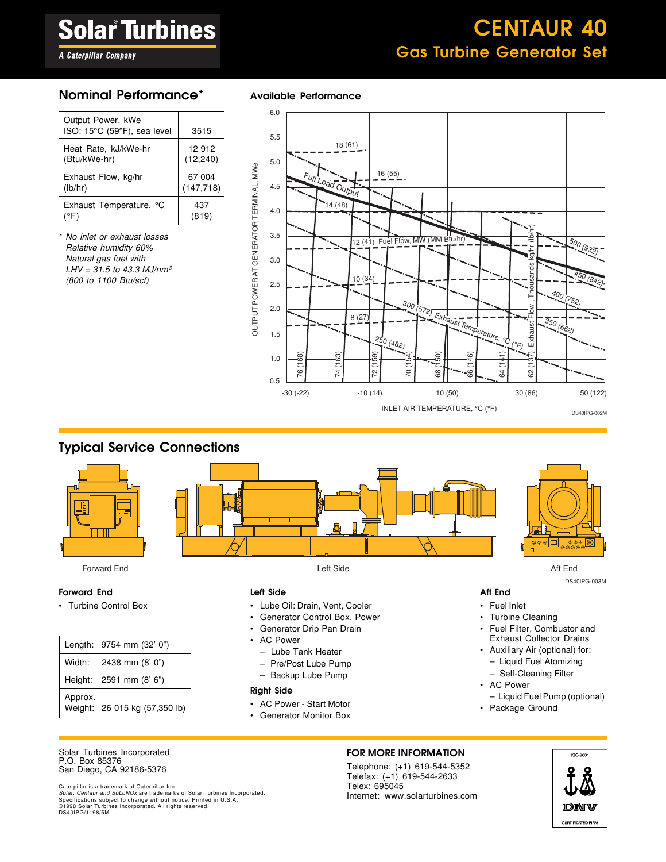## CENTAUR 40 Gas Turbine Generator Set

**A Caterpillar Company** 

#### Nominal Performance\* Available Performance

| Output Power, kWe<br>ISO: 15°C (59°F), sea level | 3515       |
|--------------------------------------------------|------------|
| Heat Rate, kJ/kWe-hr                             | 12 912     |
| (Btu/kWe-hr)                                     | (12, 240)  |
| Exhaust Flow, kg/hr                              | 67 004     |
| (lb/hr)                                          | (147, 718) |
| Exhaust Temperature, °C                          | 437        |
| (°F)                                             | (819)      |

No inlet or exhaust losses Relative humidity 60% Natural gas fuel with  $LHV = 31.5$  to 43.3 MJ/nm<sup>3</sup> (800 to 1100 Btu/scf)



#### Typical Service Connections



Forward End Left Side Aft End

#### Forward End

• Turbine Control Box

|         | Length: 9754 mm (32' 0")      |
|---------|-------------------------------|
|         | Width: 2438 mm (8' 0")        |
|         | Height: 2591 mm (8' 6")       |
| Approx. | Weight: 26 015 kg (57,350 lb) |

#### Left Side

- Lube Oil: Drain, Vent, Cooler
- Generator Control Box, Power
- Generator Drip Pan Drain
- AC Power
	- Lube Tank Heater
	- Pre/Post Lube Pump
	- Backup Lube Pump

#### Right Side

- AC Power Start Motor
- Generator Monitor Box



DS40IPG-003M

#### Aft End

- Fuel Inlet
- Turbine Cleaning
- Fuel Filter, Combustor and Exhaust Collector Drains
- Auxiliary Air (optional) for: – Liquid Fuel Atomizing
	- Self-Cleaning Filter
- AC Power
- Liquid Fuel Pump (optional)
- Package Ground

#### Solar Turbines Incorporated P.O. Box 85376 San Diego, CA 92186-5376

Caterpillar is a trademark of Caterpillar Inc.<br>*Solar, Centaur and SoLoNOx* are trademarks of Solar Turbines Incorporated.<br>Specifications subject to change without notice. Printed in U.S.A. ©1998 Solar Turbines Incorporated. All rights reserved. DS40IPG/1198/5M

#### FOR MORE INFORMATION

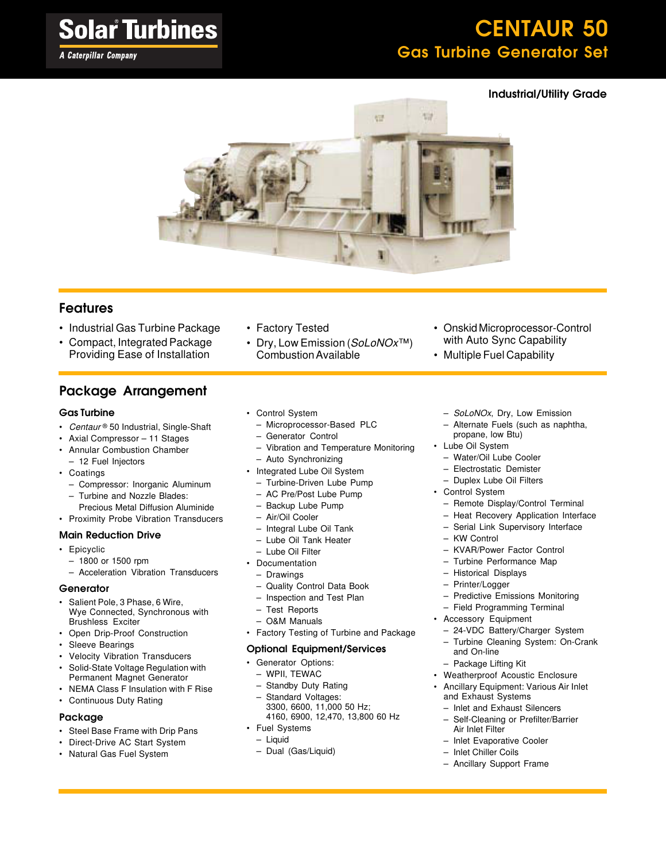#### **A Caterpillar Company**

## CENTAUR 50 Gas Turbine Generator Set

#### Industrial/Utility Grade



#### Features

- Industrial Gas Turbine Package
- Compact, Integrated Package Providing Ease of Installation

### Package Arrangement

#### Gas Turbine

- Centaur® 50 Industrial, Single-Shaft
- Axial Compressor 11 Stages
- Annular Combustion Chamber – 12 Fuel Injectors
- Coatings
	- Compressor: Inorganic Aluminum
	- Turbine and Nozzle Blades:
- Precious Metal Diffusion Aluminide
- Proximity Probe Vibration Transducers

#### Main Reduction Drive

- Epicyclic
	- 1800 or 1500 rpm
	- Acceleration Vibration Transducers

#### **Generator**

- Salient Pole, 3 Phase, 6 Wire, Wye Connected, Synchronous with Brushless Exciter
- Open Drip-Proof Construction
- Sleeve Bearings
- Velocity Vibration Transducers
- Solid-State Voltage Regulation with Permanent Magnet Generator
- NEMA Class F Insulation with F Rise
- Continuous Duty Rating

#### Package

- Steel Base Frame with Drip Pans
- Direct-Drive AC Start System
- Natural Gas Fuel System

• Factory Tested

• Control System

– Generator Control

– Auto Synchronizing • Integrated Lube Oil System – Turbine-Driven Lube Pump – AC Pre/Post Lube Pump – Backup Lube Pump – Air/Oil Cooler – Integral Lube Oil Tank – Lube Oil Tank Heater – Lube Oil Filter **Documentation** – Drawings

• Dry, Low Emission (SoLoNOx™) Combustion Available

– Microprocessor-Based PLC

– Vibration and Temperature Monitoring

- Onskid Microprocessor-Control with Auto Sync Capability
- Multiple Fuel Capability
- SoLoNOx, Dry, Low Emission
- Alternate Fuels (such as naphtha, propane, low Btu)
- Water/Oil Lube Cooler
- Electrostatic Demister
- Duplex Lube Oil Filters
- Control System
	- Remote Display/Control Terminal
	- Heat Recovery Application Interface
	- Serial Link Supervisory Interface
	- KW Control
	- KVAR/Power Factor Control
	- Turbine Performance Map
	- Historical Displays
	- Printer/Logger
	- Predictive Emissions Monitoring
	- Field Programming Terminal
- Accessory Equipment
	-
	-

#### Optional Equipment/Services

• Factory Testing of Turbine and Package

• Generator Options:

– Quality Control Data Book – Inspection and Test Plan

– WPII, TEWAC

– Test Reports – O&M Manuals

- Standby Duty Rating
- Standard Voltages: 3300, 6600, 11,000 50 Hz; 4160, 6900, 12,470, 13,800 60 Hz
- Fuel Systems
	- Liquid
	- Dual (Gas/Liquid)
- Inlet Chiller Coils
- Ancillary Support Frame
- Lube Oil System
	-
	-
	-
	-
	-
	-
	-
	-
	-
	-
	-
	-
	-
	-
	- - 24-VDC Battery/Charger System
		- Turbine Cleaning System: On-Crank and On-line
	- Package Lifting Kit
	- Weatherproof Acoustic Enclosure
	- Ancillary Equipment: Various Air Inlet and Exhaust Systems
		- Inlet and Exhaust Silencers
		- Air Inlet Filter
		- Inlet Evaporative Cooler
		-
		-
		-
		-
		-
		- Self-Cleaning or Prefilter/Barrier
		-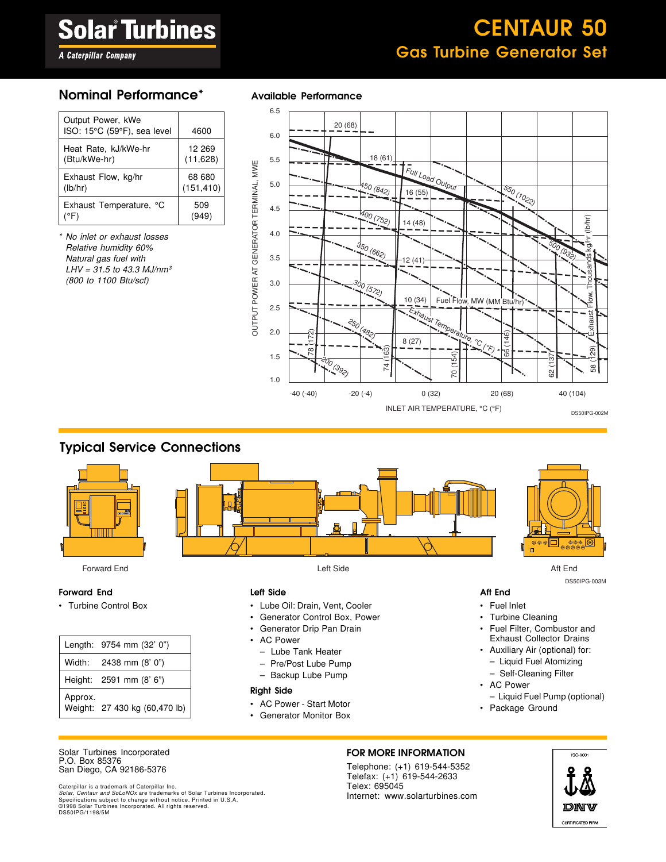## CENTAUR 50 Gas Turbine Generator Set

**A Caterpillar Company** 

| Output Power, kWe<br>ISO: 15°C (59°F), sea level | 4600                 |
|--------------------------------------------------|----------------------|
| Heat Rate, kJ/kWe-hr<br>(Btu/kWe-hr)             | 12 269<br>(11, 628)  |
| Exhaust Flow, kg/hr<br>(lb/hr)                   | 68 680<br>(151, 410) |
| Exhaust Temperature, °C                          | 509<br>(949)         |

\* No inlet or exhaust losses Relative humidity 60% Natural gas fuel with  $LHV = 31.5$  to 43.3 MJ/nm<sup>3</sup> (800 to 1100 Btu/scf)

#### Nominal Performance\* Available Performance



#### Typical Service Connections



Forward End Left Side Aft End

#### Forward End

• Turbine Control Box

|         | Length: 9754 mm (32' 0")      |
|---------|-------------------------------|
|         | Width: 2438 mm (8' 0")        |
|         | Height: 2591 mm (8' 6")       |
| Approx. | Weight: 27 430 kg (60,470 lb) |

#### Left Side

- Lube Oil: Drain, Vent, Cooler
- Generator Control Box, Power
- Generator Drip Pan Drain
- AC Power
	- Lube Tank Heater
	- Pre/Post Lube Pump
	- Backup Lube Pump

#### Right Side

- AC Power Start Motor
- Generator Monitor Box



DS50IPG-003M

#### Aft End

- Fuel Inlet
- Turbine Cleaning
- Fuel Filter, Combustor and Exhaust Collector Drains
- Auxiliary Air (optional) for: – Liquid Fuel Atomizing
	- Self-Cleaning Filter
- AC Power
- Liquid Fuel Pump (optional)
- Package Ground

#### Solar Turbines Incorporated P.O. Box 85376 San Diego, CA 92186-5376

Caterpillar is a trademark of Caterpillar Inc.<br>*Solar, Centaur and SoLoNOx* are trademarks of Solar Turbines Incorporated.<br>Specifications subject to change without notice. Printed in U.S.A. ©1998 Solar Turbines Incorporated. All rights reserved. DS50IPG/1198/5M

#### FOR MORE INFORMATION

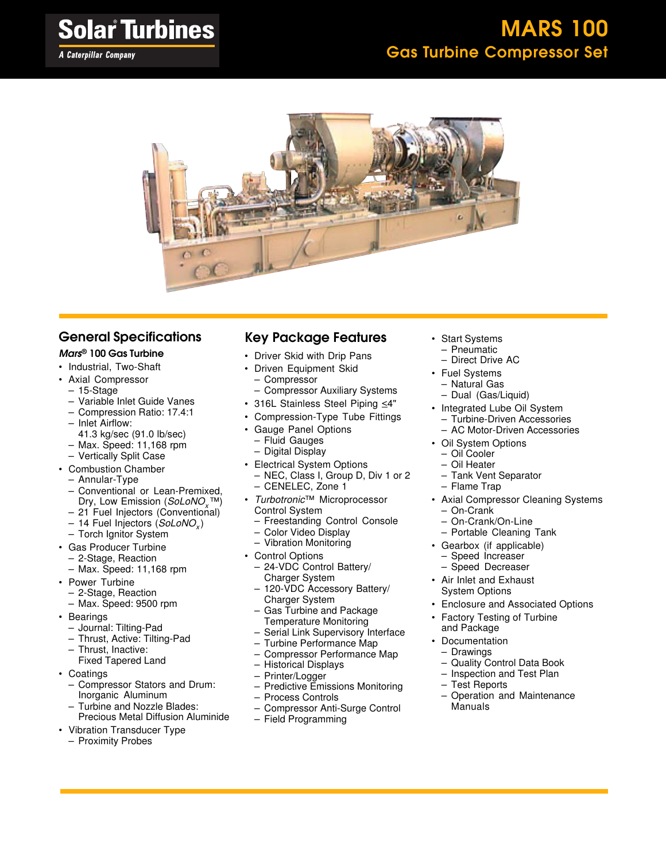

#### General Specifications

#### Mars ® 100 Gas Turbine

- Industrial, Two-Shaft
- Axial Compressor
- 15-Stage
- Variable Inlet Guide Vanes
- Compression Ratio: 17.4:1
- Inlet Airflow:
- 41.3 kg/sec (91.0 lb/sec)
- Max. Speed: 11,168 rpm
- Vertically Split Case
- Combustion Chamber
	- Annular-Type
	- Conventional or Lean-Premixed, Dry, Low Emission (SoLoNO<sub>x</sub>™)
	- 21 Fuel Injectors (Conventional)
	- 14 Fuel Injectors (*SoLoNO<sub>x</sub>*)
	- Torch Ignitor System
- Gas Producer Turbine
	- 2-Stage, Reaction
	- Max. Speed: 11,168 rpm
- Power Turbine
	- 2-Stage, Reaction
	- Max. Speed: 9500 rpm
- Bearings
	- Journal: Tilting-Pad
	- Thrust, Active: Tilting-Pad
	- Thrust, Inactive:
	- Fixed Tapered Land
- Coatings
	- Compressor Stators and Drum: Inorganic Aluminum
	- Turbine and Nozzle Blades:
	- Precious Metal Diffusion Aluminide
- Vibration Transducer Type
	- Proximity Probes

#### Key Package Features

- Driver Skid with Drip Pans
- Driven Equipment Skid
	- Compressor
- Compressor Auxiliary Systems
- 316L Stainless Steel Piping <4"
- Compression-Type Tube Fittings
- Gauge Panel Options
- Fluid Gauges
- Digital Display
- Electrical System Options
- NEC, Class I, Group D, Div 1 or 2 – CENELEC, Zone 1
- Turbotronic™ Microprocessor Control System
	- Freestanding Control Console
	- Color Video Display
	- Vibration Monitoring
- Control Options
	- 24-VDC Control Battery/ Charger System
	- 120-VDC Accessory Battery/ Charger System
	- Gas Turbine and Package Temperature Monitoring
	- Serial Link Supervisory Interface
	- Turbine Performance Map
	- Compressor Performance Map
	- Historical Displays
	- Printer/Logger
	- Predictive Emissions Monitoring
	- Process Controls
	- Compressor Anti-Surge Control – Field Programming
- Start Systems – Pneumatic
	- Direct Drive AC
- Fuel Systems – Natural Gas
	- Dual (Gas/Liquid)
- Integrated Lube Oil System
	- Turbine-Driven Accessories
- AC Motor-Driven Accessories • Oil System Options
	-
	- Oil Cooler
	- Oil Heater
	- Tank Vent Separator
	- Flame Trap
- Axial Compressor Cleaning Systems
	- On-Crank – On-Crank/On-Line
	- Portable Cleaning Tank
- Gearbox (if applicable)
	- Speed Increaser
	- Speed Decreaser
- Air Inlet and Exhaust System Options
- Enclosure and Associated Options
- Factory Testing of Turbine
- and Package
- Documentation **Drawings** 
	- Quality Control Data Book
	- Inspection and Test Plan
	- Test Reports
	- Operation and Maintenance Manuals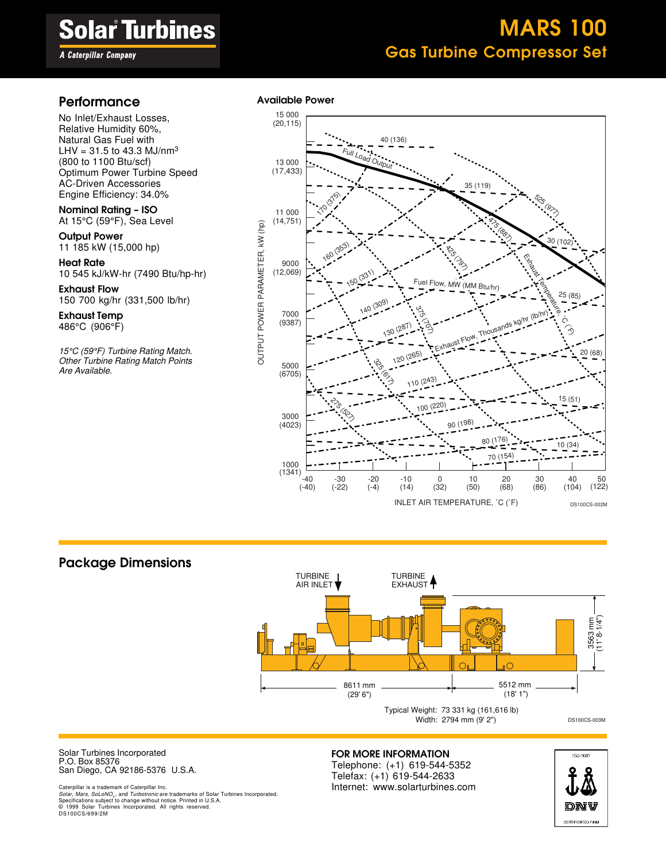A Caterpillar Company

## MARS 100 Gas Turbine Compressor Set

### Performance Available Power

No Inlet/Exhaust Losses, Relative Humidity 60%, Natural Gas Fuel with LHV =  $31.5$  to 43.3 MJ/nm<sup>3</sup> (800 to 1100 Btu/scf) Optimum Power Turbine Speed AC-Driven Accessories Engine Efficiency: 34.0%

Nominal Rating – ISO At 15°C (59°F), Sea Level

**Output Power** 11 185 kW (15,000 hp)

Heat Rate 10 545 kJ/kW-hr (7490 Btu/hp-hr)

Exhaust Flow 150 700 kg/hr (331,500 lb/hr)

Exhaust Temp 486°C (906°F)

15°C (59°F) Turbine Rating Match. Other Turbine Rating Match Points Are Available.



#### Package Dimensions



Solar Turbines Incorporated P.O. Box 85376 San Diego, CA 92186-5376 U.S.A.

Caterpillar is a trademark of Caterpillar Inc. Solar, Mars, SoLoNO<sub>x</sub>, and Turbotronic are trademarks of Solar Turbines Incorporated. Specifications subject to change without notice. Printed in U.S.A. © 1999 Solar Turbines Incorporated. All rights reserved. DS100CS/699/2M

#### FOR MORE INFORMATION

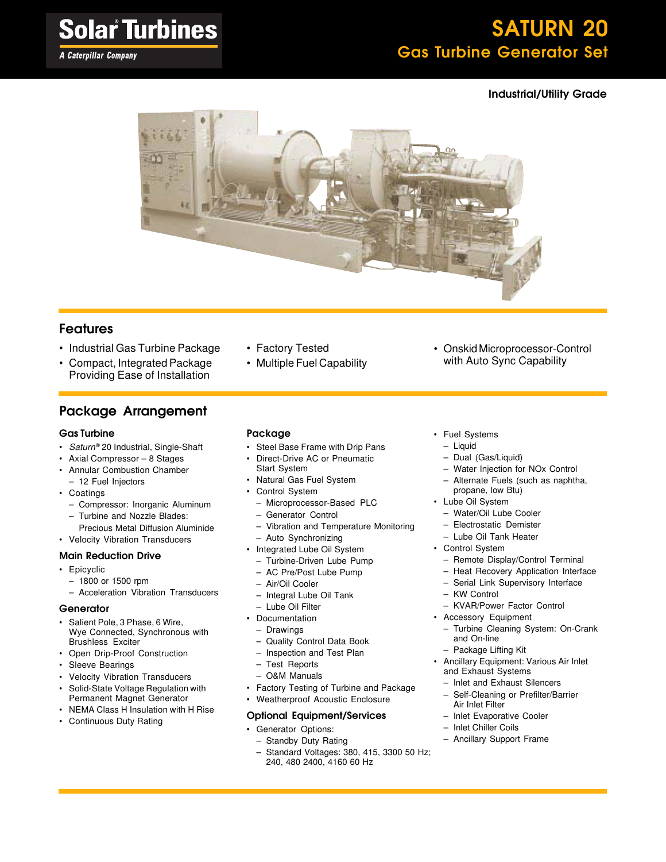**A Caterpillar Company** 

## SATURN 20 Gas Turbine Generator Set

#### Industrial/Utility Grade



#### Features

- Industrial Gas Turbine Package
- Compact, Integrated Package Providing Ease of Installation

#### Package Arrangement

#### Gas Turbine

- Saturn® 20 Industrial, Single-Shaft
- Axial Compressor 8 Stages
- Annular Combustion Chamber – 12 Fuel Injectors
- Coatings
	- Compressor: Inorganic Aluminum
	- Turbine and Nozzle Blades:
- Precious Metal Diffusion Aluminide • Velocity Vibration Transducers

#### Main Reduction Drive

- Epicyclic
	- 1800 or 1500 rpm
	- Acceleration Vibration Transducers

#### **Generator**

- Salient Pole, 3 Phase, 6 Wire, Wye Connected, Synchronous with Brushless Exciter
- Open Drip-Proof Construction
- Sleeve Bearings
- Velocity Vibration Transducers
- Solid-State Voltage Regulation with Permanent Magnet Generator
- NEMA Class H Insulation with H Rise
- Continuous Duty Rating

#### • Factory Tested • Multiple Fuel Capability

#### Package

- Steel Base Frame with Drip Pans
- Direct-Drive AC or Pneumatic
- Start System
- Natural Gas Fuel System
- Control System
	- Microprocessor-Based PLC
	- Generator Control
	- Vibration and Temperature Monitoring
	- Auto Synchronizing
- Integrated Lube Oil System
	- Turbine-Driven Lube Pump
	- AC Pre/Post Lube Pump
	- Air/Oil Cooler
	- Integral Lube Oil Tank
- Lube Oil Filter
- Documentation
	- Drawings
	- Quality Control Data Book
	- Inspection and Test Plan
	- Test Reports
	- O&M Manuals
- Factory Testing of Turbine and Package
- Weatherproof Acoustic Enclosure

#### Optional Equipment/Services

- Generator Options:
	- Standby Duty Rating
	- Standard Voltages: 380, 415, 3300 50 Hz; 240, 480 2400, 4160 60 Hz
- Fuel Systems
	- Liquid
	- Dual (Gas/Liquid)
	- Water Injection for NOx Control
	- Alternate Fuels (such as naphtha, propane, low Btu)

• Onskid Microprocessor-Control with Auto Sync Capability

- Lube Oil System
	- Water/Oil Lube Cooler
	- Electrostatic Demister
	- Lube Oil Tank Heater
- Control System
	- Remote Display/Control Terminal
	- Heat Recovery Application Interface
	- Serial Link Supervisory Interface
- KW Control
- KVAR/Power Factor Control
- Accessory Equipment
	- Turbine Cleaning System: On-Crank and On-line
	- Package Lifting Kit
- Ancillary Equipment: Various Air Inlet and Exhaust Systems
	- Inlet and Exhaust Silencers
		- Self-Cleaning or Prefilter/Barrier Air Inlet Filter
	- Inlet Evaporative Cooler
	- Inlet Chiller Coils
	- Ancillary Support Frame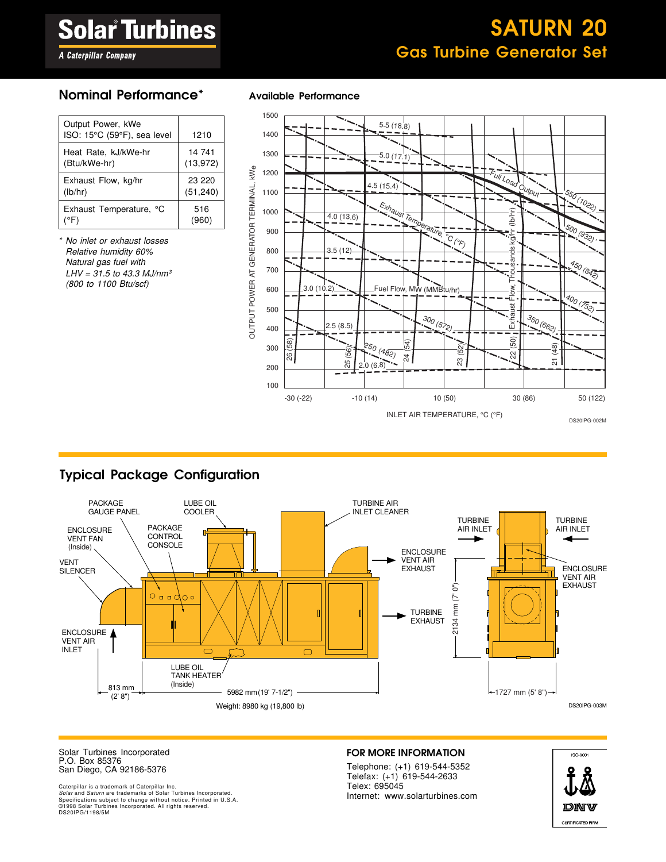## SATURN 20 Gas Turbine Generator Set

#### **A Caterpillar Company**

#### Nominal Performance\* Available Performance

| 1210                |
|---------------------|
| 14 741<br>(13, 972) |
| 23 220<br>(51, 240) |
| 516<br>(960)        |
|                     |

No inlet or exhaust losses Relative humidity 60% Natural gas fuel with  $LHV = 31.5$  to 43.3 MJ/nm<sup>3</sup> (800 to 1100 Btu/scf)





### Typical Package Configuration



Solar Turbines Incorporated P.O. Box 85376 San Diego, CA 92186-5376

Caterpillar is a trademark of Caterpillar Inc.<br>*Solar* and *Saturn* are trademarks of Solar Turbines Incorporated.<br>Specifications subject to change without notice. Printed in U.S.A. ©1998 Solar Turbines Incorporated. All rights reserved. DS20IPG/1198/5M

#### FOR MORE INFORMATION

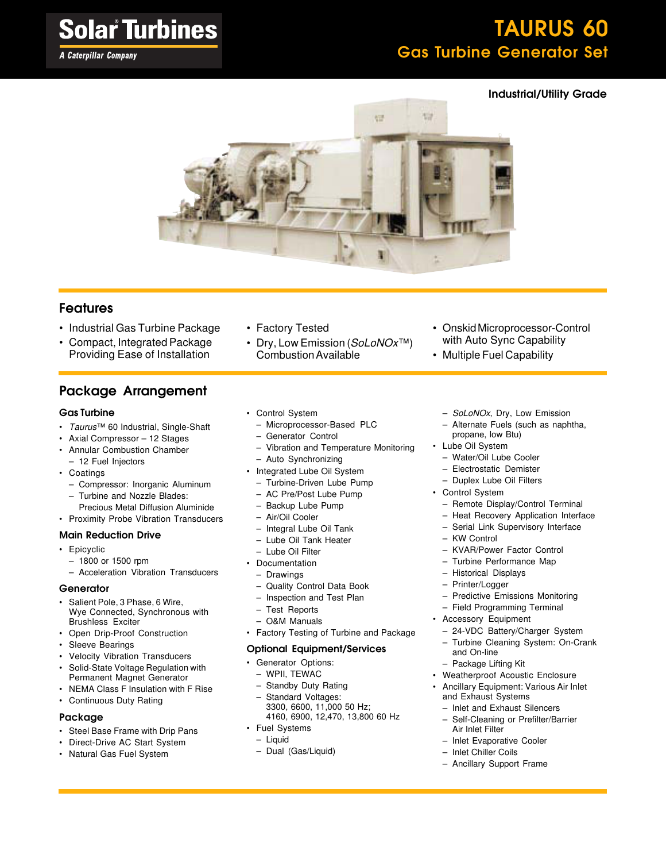**A Caterpillar Company** 

## TAURUS 60 Gas Turbine Generator Set

#### Industrial/Utility Grade



#### Features

- Industrial Gas Turbine Package
- Compact, Integrated Package Providing Ease of Installation

### Package Arrangement

#### Gas Turbine

- Taurus™ 60 Industrial, Single-Shaft
- Axial Compressor 12 Stages
- Annular Combustion Chamber – 12 Fuel Injectors
- Coatings
	- Compressor: Inorganic Aluminum
	- Turbine and Nozzle Blades:
- Precious Metal Diffusion Aluminide
- Proximity Probe Vibration Transducers

#### Main Reduction Drive

- Epicyclic
	- 1800 or 1500 rpm
	- Acceleration Vibration Transducers

#### **Generator**

- Salient Pole, 3 Phase, 6 Wire, Wye Connected, Synchronous with Brushless Exciter
- Open Drip-Proof Construction
- Sleeve Bearings
- Velocity Vibration Transducers
- Solid-State Voltage Regulation with Permanent Magnet Generator
- NEMA Class F Insulation with F Rise
- Continuous Duty Rating

#### Package

- Steel Base Frame with Drip Pans
- Direct-Drive AC Start System
- Natural Gas Fuel System
- Dry, Low Emission (SoLoNOx™) Combustion Available
- Onskid Microprocessor-Control with Auto Sync Capability
- Multiple Fuel Capability
	- SoLoNOx, Dry, Low Emission
	- Alternate Fuels (such as naphtha, propane, low Btu)
- Lube Oil System
	- Water/Oil Lube Cooler
	- Electrostatic Demister
	- Duplex Lube Oil Filters
- Control System
	- Remote Display/Control Terminal
	- Heat Recovery Application Interface
	- Serial Link Supervisory Interface
	- KW Control
	- KVAR/Power Factor Control
	- Turbine Performance Map
	- Historical Displays
	- Printer/Logger
	- Predictive Emissions Monitoring
- Field Programming Terminal
- Accessory Equipment
	- 24-VDC Battery/Charger System
	- Turbine Cleaning System: On-Crank
	- and On-line
	- Package Lifting Kit
- Weatherproof Acoustic Enclosure
- Ancillary Equipment: Various Air Inlet and Exhaust Systems
	- Inlet and Exhaust Silencers
	- Self-Cleaning or Prefilter/Barrier Air Inlet Filter
	- Inlet Evaporative Cooler
	- Inlet Chiller Coils
	- Ancillary Support Frame
- Microprocessor-Based PLC – Generator Control
- Vibration and Temperature Monitoring
- Auto Synchronizing
- Integrated Lube Oil System
- 
- Turbine-Driven Lube Pump
- AC Pre/Post Lube Pump
- Backup Lube Pump
- 
- 
- 
- Lube Oil Filter
- **Documentation**
- Drawings
- Quality Control Data Book
- Inspection and Test Plan
- Test Reports
- O&M Manuals
- Factory Testing of Turbine and Package

#### Optional Equipment/Services

- Generator Options:
	- WPII, TEWAC
	- Standby Duty Rating
	- Standard Voltages: 3300, 6600, 11,000 50 Hz; 4160, 6900, 12,470, 13,800 60 Hz
- Fuel Systems
	- Liquid
	- Dual (Gas/Liquid)

• Factory Tested

• Control System

- 
- Air/Oil Cooler
- Integral Lube Oil Tank
- Lube Oil Tank Heater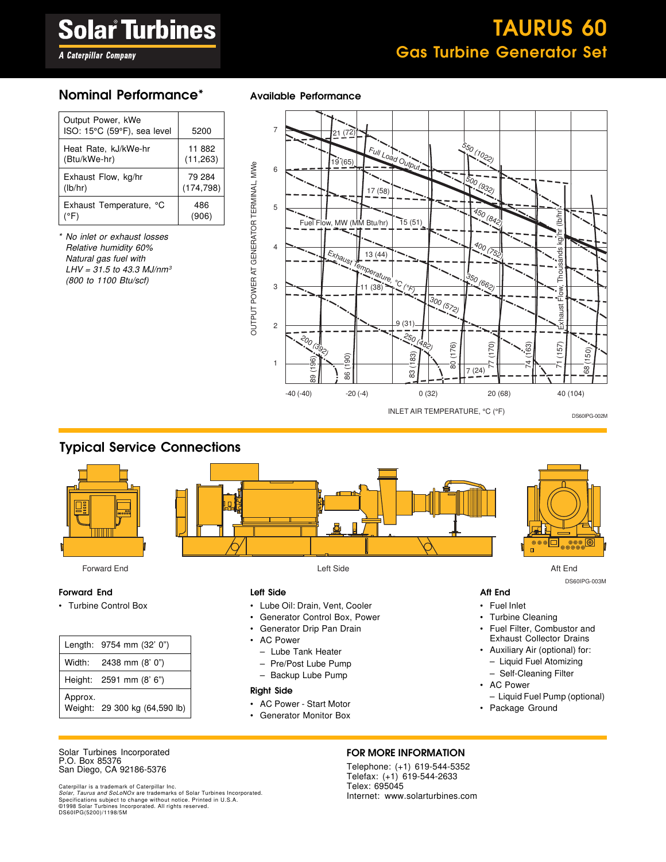## TAURUS 60 Gas Turbine Generator Set

### **A Caterpillar Company**

#### Nominal Performance\* Available Performance

| Output Power, kWe<br>ISO: 15°C (59°F), sea level | 5200       |
|--------------------------------------------------|------------|
| Heat Rate, kJ/kWe-hr                             | 11 882     |
| (Btu/kWe-hr)                                     | (11, 263)  |
| Exhaust Flow, kg/hr                              | 79 284     |
| (lb/hr)                                          | (174, 798) |
| Exhaust Temperature, °C                          | 486        |
| (°F)                                             | (906)      |

\* No inlet or exhaust losses Relative humidity 60% Natural gas fuel with  $LHV = 31.5$  to 43.3 MJ/nm<sup>3</sup> (800 to 1100 Btu/scf)



#### Typical Service Connections



Forward End Left Side Aft End

#### Forward End

• Turbine Control Box

|         | Length: 9754 mm (32' 0")      |
|---------|-------------------------------|
|         | Width: 2438 mm (8' 0")        |
|         | Height: 2591 mm (8' 6")       |
| Approx. | Weight: 29 300 kg (64,590 lb) |

#### Left Side

- Lube Oil: Drain, Vent, Cooler
- Generator Control Box, Power
- Generator Drip Pan Drain
- AC Power
	- Lube Tank Heater
	- Pre/Post Lube Pump
	- Backup Lube Pump

#### Right Side

- AC Power Start Motor
- Generator Monitor Box



DS60IPG-003M

#### Aft End

- Fuel Inlet
- Turbine Cleaning
- Fuel Filter, Combustor and Exhaust Collector Drains
- Auxiliary Air (optional) for: – Liquid Fuel Atomizing
	- Self-Cleaning Filter
- AC Power
- Liquid Fuel Pump (optional)
- Package Ground

#### Solar Turbines Incorporated P.O. Box 85376 San Diego, CA 92186-5376

Caterpillar is a trademark of Caterpillar Inc.<br>*Solar, Taurus and SoLoNOx* are trademarks of Solar Turbines Incorporated.<br>Specifications subject to change without notice. Printed in U.S.A. ©1998 Solar Turbines Incorporated. All rights reserved. DS60IPG(5200)/1198/5M

#### FOR MORE INFORMATION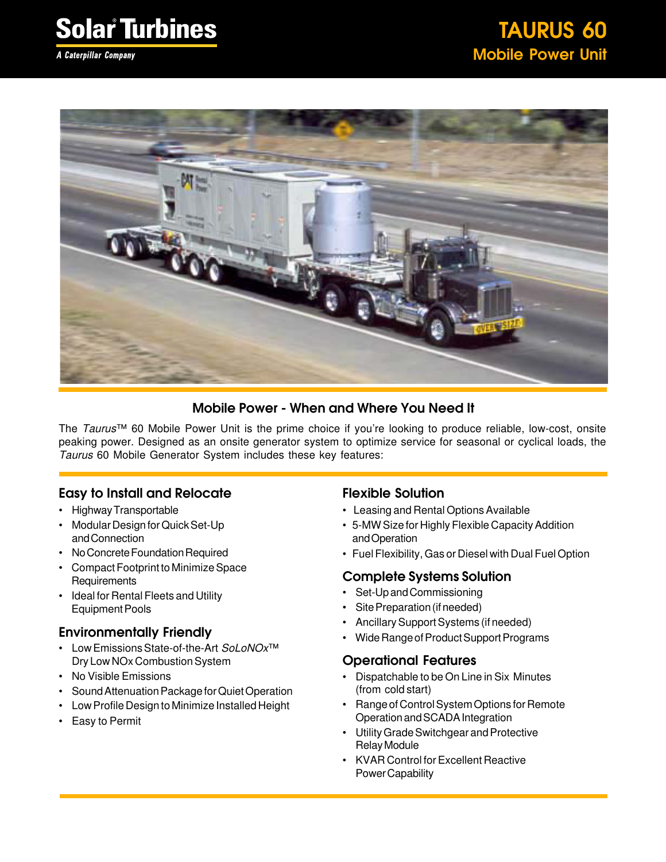A Caterpillar Company



### Mobile Power - When and Where You Need It

The Taurus™ 60 Mobile Power Unit is the prime choice if you're looking to produce reliable, low-cost, onsite peaking power. Designed as an onsite generator system to optimize service for seasonal or cyclical loads, the Taurus 60 Mobile Generator System includes these key features:

#### Easy to Install and Relocate

- Highway Transportable
- Modular Design for Quick Set-Up and Connection
- No Concrete Foundation Required
- Compact Footprint to Minimize Space **Requirements**
- Ideal for Rental Fleets and Utility Equipment Pools

#### Environmentally Friendly

- Low Emissions State-of-the-Art SoLoNOx<sup>™</sup> Dry Low NOx Combustion System
- No Visible Emissions
- Sound Attenuation Package for Quiet Operation
- Low Profile Design to Minimize Installed Height
- Easy to Permit

#### Flexible Solution

- Leasing and Rental Options Available
- 5-MW Size for Highly Flexible Capacity Addition and Operation
- Fuel Flexibility, Gas or Diesel with Dual Fuel Option

#### Complete Systems Solution

- Set-Up and Commissioning
- Site Preparation (if needed)
- Ancillary Support Systems (if needed)
- Wide Range of Product Support Programs

#### Operational Features

- Dispatchable to be On Line in Six Minutes (from cold start)
- Range of Control System Options for Remote Operation and SCADA Integration
- Utility Grade Switchgear and Protective Relay Module
- KVAR Control for Excellent Reactive Power Capability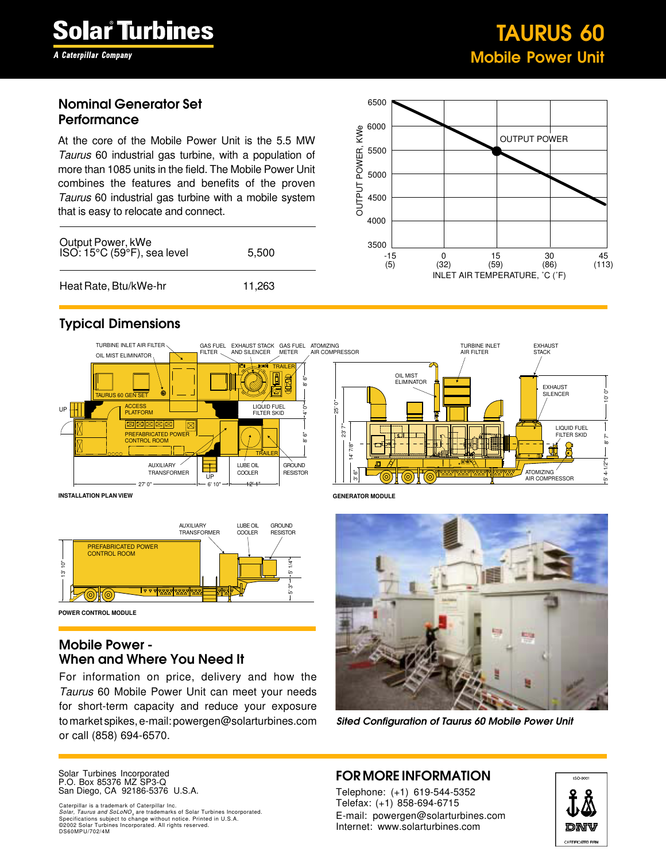A Caterpillar Company

### TAURUS 60 Mobile Power Unit

#### Nominal Generator Set **Performance**

At the core of the Mobile Power Unit is the 5.5 MW Taurus 60 industrial gas turbine, with a population of more than 1085 units in the field. The Mobile Power Unit combines the features and benefits of the proven Taurus 60 industrial gas turbine with a mobile system that is easy to relocate and connect.

| Output Power, kWe<br>ISO: 15°C (59°F), sea level | 5.500  |  |
|--------------------------------------------------|--------|--|
| Heat Rate, Btu/kWe-hr                            | 11,263 |  |



#### Typical Dimensions



**INSTALLATION PLAN VIEW**



**POWER CONTROL MODULE**

#### Mobile Power - When and Where You Need It

For information on price, delivery and how the Taurus 60 Mobile Power Unit can meet your needs for short-term capacity and reduce your exposure to market spikes, e-mail: powergen@solarturbines.com or call (858) 694-6570.

AIR COMPRESSOR  $\overline{25}$ .<br>"6 TURBINE INLET AIR FILTER OIL MIST **ELIMINATOR**  $7/8"$  $\mathbb{S}^2$ EXHAUST **STACK** EXHAUST SILENCER LIQUID FUEL FILTER SKID ATOMIZING AIR COMPRESSOR 10' 0" .<br>ة  $-1/2"$ 

**GENERATOR MODULE**



Sited Configuration of Taurus 60 Mobile Power Unit

Solar Turbines Incorporated P.O. Box 85376 MZ SP3-Q San Diego, CA 92186-5376 U.S.A.

Caterpillar is a trademark of Caterpillar Inc. *Solar, Taurus and SoLoNO<sub>x</sub> are tra*demarks of Solar Turbines Incorporated.<br>Specifications subject to change without notice. Printed in U.S.A.<br>©2002 Solar Turbines Incorporated. All rights reserved. DS60MPU/702/4M

#### FOR MORE INFORMATION

Telephone: (+1) 619-544-5352 Telefax: (+1) 858-694-6715 E-mail: powergen@solarturbines.com Internet: www.solarturbines.com

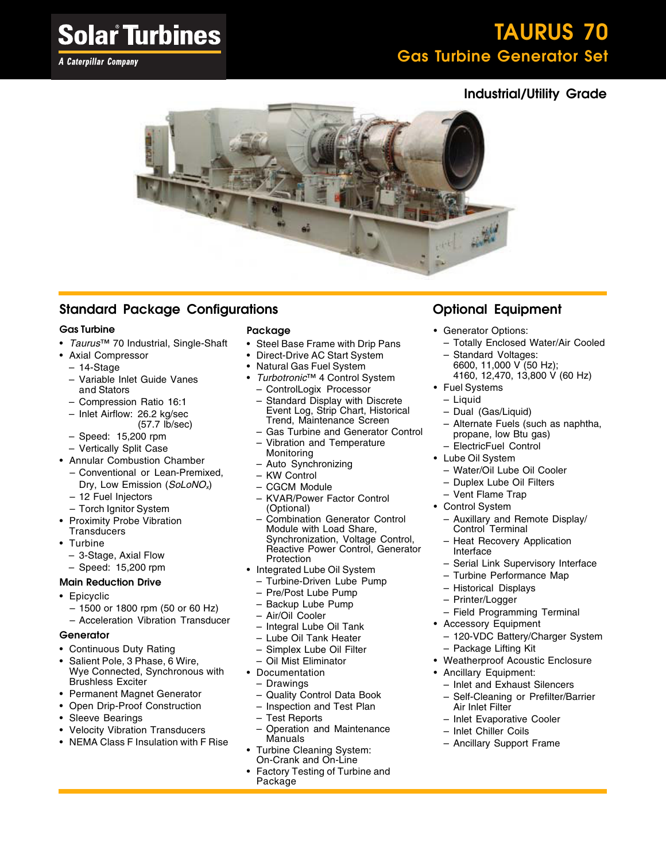## TAURUS 70 Gas Turbine Generator Set

### Industrial/Utility Grade



### Standard Package Configurations

#### Gas Turbine

- Taurus™ 70 Industrial, Single-Shaft
- Axial Compressor
	- 14-Stage
	- Variable Inlet Guide Vanes and Stators
	- Compression Ratio 16:1
	- Inlet Airflow: 26.2 kg/sec (57.7 lb/sec)
	- Speed: 15,200 rpm
	- Vertically Split Case
- Annular Combustion Chamber
	- Conventional or Lean-Premixed, Dry, Low Emission (SoLoNO<sub>x</sub>)
	- 12 Fuel Injectors
	- Torch Ignitor System
- Proximity Probe Vibration **Transducers**
- Turbine
	- 3-Stage, Axial Flow
	- Speed: 15,200 rpm

#### Main Reduction Drive

- Epicyclic
	- 1500 or 1800 rpm (50 or 60 Hz)
	- Acceleration Vibration Transducer

#### **Generator**

- Continuous Duty Rating
- Salient Pole, 3 Phase, 6 Wire, Wye Connected, Synchronous with Brushless Exciter
- Permanent Magnet Generator
- Open Drip-Proof Construction
- Sleeve Bearings
- Velocity Vibration Transducers
- NEMA Class F Insulation with F Rise

#### Package

- Steel Base Frame with Drip Pans
- Direct-Drive AC Start System
- Natural Gas Fuel System
- Turbotronic™ 4 Control System – ControlLogix Processor
- Standard Display with Discrete Event Log, Strip Chart, Historical Trend, Maintenance Screen
- Gas Turbine and Generator Control – Vibration and Temperature Monitoring
- Auto Synchronizing
- KW Control
- CGCM Module
- KVAR/Power Factor Control (Optional)
- Combination Generator Control Module with Load Share, Synchronization, Voltage Control, Reactive Power Control, Generator **Protection**
- Integrated Lube Oil System
	- Turbine-Driven Lube Pump
	- Pre/Post Lube Pump
	- Backup Lube Pump
	- Air/Oil Cooler
	- Integral Lube Oil Tank
	- Lube Oil Tank Heater
	- Simplex Lube Oil Filter
	- Oil Mist Eliminator
- Documentation
	- Drawings
	- Quality Control Data Book
	- Inspection and Test Plan
	- Test Reports
- Operation and Maintenance Manuals
- Turbine Cleaning System: On-Crank and On-Line
- Factory Testing of Turbine and Package

### Optional Equipment

- Generator Options:
	- Totally Enclosed Water/Air Cooled
	- Standard Voltages: 6600, 11,000 V (50 Hz);
	- 4160, 12,470, 13,800 V (60 Hz)
- Fuel Systems
	- Liquid
	- Dual (Gas/Liquid)
	- Alternate Fuels (such as naphtha, propane, low Btu gas)
	- ElectricFuel Control
- Lube Oil System
	- Water/Oil Lube Oil Cooler
	- Duplex Lube Oil Filters
	- Vent Flame Trap
- Control System
	- Auxillary and Remote Display/ Control Terminal
	- Heat Recovery Application Interface
	- Serial Link Supervisory Interface
	- Turbine Performance Map
	- Historical Displays
	- Printer/Logger
	- Field Programming Terminal
- Accessory Equipment
	- 120-VDC Battery/Charger System – Package Lifting Kit
- Weatherproof Acoustic Enclosure
- Ancillary Equipment:
	- Inlet and Exhaust Silencers
	- Self-Cleaning or Prefilter/Barrier Air Inlet Filter
	- Inlet Evaporative Cooler
	- Inlet Chiller Coils
	- Ancillary Support Frame